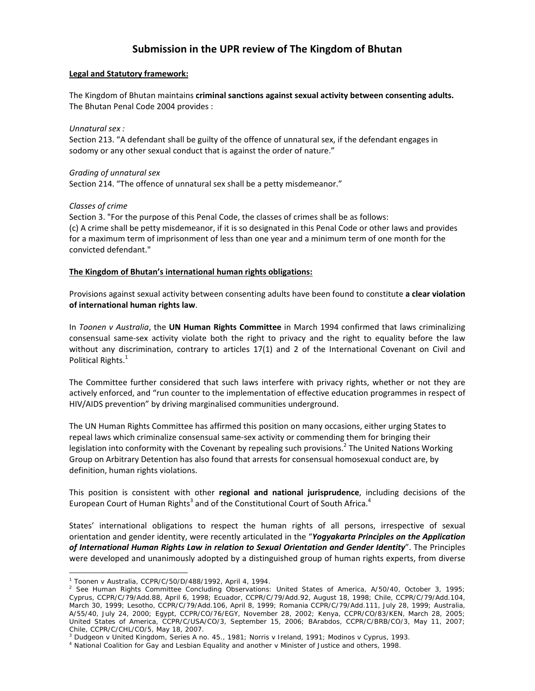# **Submission in the UPR review of The Kingdom of Bhutan**

#### **Legal and Statutory framework:**

The Kingdom of Bhutan maintains **criminal sanctions against sexual activity between consenting adults.** The Bhutan Penal Code 2004 provides :

*Unnatural sex :*

Section 213. "A defendant shall be guilty of the offence of unnatural sex, if the defendant engages in sodomy or any other sexual conduct that is against the order of nature."

## *Grading of unnatural sex*

Section 214. "The offence of unnatural sex shall be a petty misdemeanor."

## *Classes of crime*

Section 3. "For the purpose of this Penal Code, the classes of crimes shall be as follows: (c) A crime shall be petty misdemeanor, if it is so designated in this Penal Code or other laws and provides for a maximum term of imprisonment of less than one year and a minimum term of one month for the convicted defendant."

## **The Kingdom of Bhutan's international human rights obligations:**

Provisions against sexual activity between consenting adults have been found to constitute **a clear violation of international human rights law**.

In *Toonen v Australia*, the **UN Human Rights Committee** in March 1994 confirmed that laws criminalizing consensual same‐sex activity violate both the right to privacy and the right to equality before the law without any discrimination, contrary to articles 17(1) and 2 of the International Covenant on Civil and Political Rights.<sup>1</sup>

The Committee further considered that such laws interfere with privacy rights, whether or not they are actively enforced, and "run counter to the implementation of effective education programmes in respect of HIV/AIDS prevention" by driving marginalised communities underground.

The UN Human Rights Committee has affirmed this position on many occasions, either urging States to repeal laws which criminalize consensual same‐sex activity or commending them for bringing their legislation into conformity with the Covenant by repealing such provisions.<sup>2</sup> The United Nations Working Group on Arbitrary Detention has also found that arrests for consensual homosexual conduct are, by definition, human rights violations.

This position is consistent with other **regional and national jurisprudence**, including decisions of the European Court of Human Rights<sup>3</sup> and of the Constitutional Court of South Africa.<sup>4</sup>

States' international obligations to respect the human rights of all persons, irrespective of sexual orientation and gender identity, were recently articulated in the "*Yogyakarta Principles on the Application of International Human Rights Law in relation to Sexual Orientation and Gender Identity*". The Principles were developed and unanimously adopted by a distinguished group of human rights experts, from diverse

 $\overline{a}$ 

<sup>1</sup> *Toonen* v *Australia*, CCPR/C/50/D/488/1992, April 4, 1994. 2

 $^2$  See Human Rights Committee Concluding Observations: United States of America, A/50/40, October 3, 1995; Cyprus, CCPR/C/79/Add.88, April 6, 1998; Ecuador, CCPR/C/79/Add.92, August 18, 1998; Chile, CCPR/C/79/Add.104, March 30, 1999; Lesotho, CCPR/C/79/Add.106, April 8, 1999; Romania CCPR/C/79/Add.111, July 28, 1999; Australia, A/55/40, July 24, 2000; Egypt, CCPR/CO/76/EGY, November 28, 2002; Kenya, CCPR/CO/83/KEN, March 28, 2005; United States of America, CCPR/C/USA/CO/3, September 15, 2006; BArabdos, CCPR/C/BRB/CO/3, May 11, 2007; Chile, CCPR/C/CHL/CO/5, May 18, 2007.

<sup>&</sup>lt;sup>3</sup> Dudgeon v United Kingdom, Series A no. 45., 1981; Norris v Ireland, 1991; Modinos v Cyprus, 1993.<br><sup>4</sup> National Coalition for Gay and Lesbian Equality and another v Minister of Justice and others, 1998.